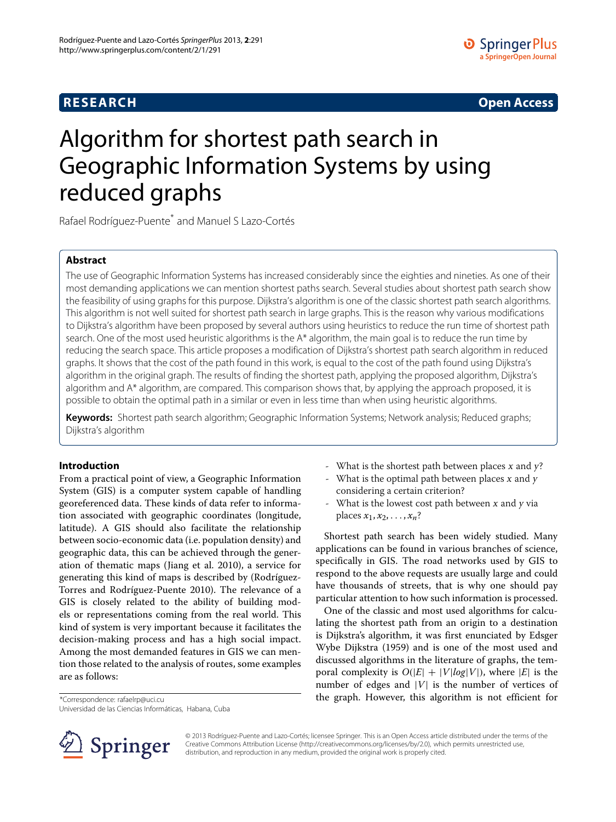**RESEARCH Open Access**

# Algorithm for shortest path search in Geographic Information Systems by using reduced graphs

Rafael Rodríguez-Puente<sup>\*</sup> and Manuel S Lazo-Cortés

# **Abstract**

The use of Geographic Information Systems has increased considerably since the eighties and nineties. As one of their most demanding applications we can mention shortest paths search. Several studies about shortest path search show the feasibility of using graphs for this purpose. Dijkstra's algorithm is one of the classic shortest path search algorithms. This algorithm is not well suited for shortest path search in large graphs. This is the reason why various modifications to Dijkstra's algorithm have been proposed by several authors using heuristics to reduce the run time of shortest path search. One of the most used heuristic algorithms is the A\* algorithm, the main goal is to reduce the run time by reducing the search space. This article proposes a modification of Dijkstra's shortest path search algorithm in reduced graphs. It shows that the cost of the path found in this work, is equal to the cost of the path found using Dijkstra's algorithm in the original graph. The results of finding the shortest path, applying the proposed algorithm, Dijkstra's algorithm and A\* algorithm, are compared. This comparison shows that, by applying the approach proposed, it is possible to obtain the optimal path in a similar or even in less time than when using heuristic algorithms.

**Keywords:** Shortest path search algorithm; Geographic Information Systems; Network analysis; Reduced graphs; Dijkstra's algorithm

# **Introduction**

From a practical point of view, a Geographic Information System (GIS) is a computer system capable of handling georeferenced data. These kinds of data refer to information associated with geographic coordinates (longitude, latitude). A GIS should also facilitate the relationship between socio-economic data (i.e. population density) and geographic data, this can be achieved through the generation of thematic maps (Jiang et al. [2010\)](#page-12-0), a service for generating this kind of maps is described by (Rodríguez-Torres and Rodríguez-Puente [2010\)](#page-12-1). The relevance of a GIS is closely related to the ability of building models or representations coming from the real world. This kind of system is very important because it facilitates the decision-making process and has a high social impact. Among the most demanded features in GIS we can mention those related to the analysis of routes, some examples are as follows:

\*Correspondence: rafaelrp@uci.cu

Universidad de las Ciencias Informáticas, Habana, Cuba



- What is the optimal path between places  $x$  and  $y$ considering a certain criterion?
- What is the lowest cost path between  $x$  and  $y$  via places  $x_1, x_2, \ldots, x_n$ ?

Shortest path search has been widely studied. Many applications can be found in various branches of science, specifically in GIS. The road networks used by GIS to respond to the above requests are usually large and could have thousands of streets, that is why one should pay particular attention to how such information is processed.

One of the classic and most used algorithms for calculating the shortest path from an origin to a destination is Dijkstra's algorithm, it was first enunciated by Edsger Wybe Dijkstra [\(1959\)](#page-12-2) and is one of the most used and discussed algorithms in the literature of graphs, the temporal complexity is  $O(|E| + |V|log|V|)$ , where  $|E|$  is the number of edges and  $|V|$  is the number of vertices of the graph. However, this algorithm is not efficient for



© 2013 Rodríguez-Puente and Lazo-Cortés; licensee Springer. This is an Open Access article distributed under the terms of the Creative Commons Attribution License (http://creativecommons.org/licenses/by/2.0), which permits unrestricted use, distribution, and reproduction in any medium, provided the original work is properly cited.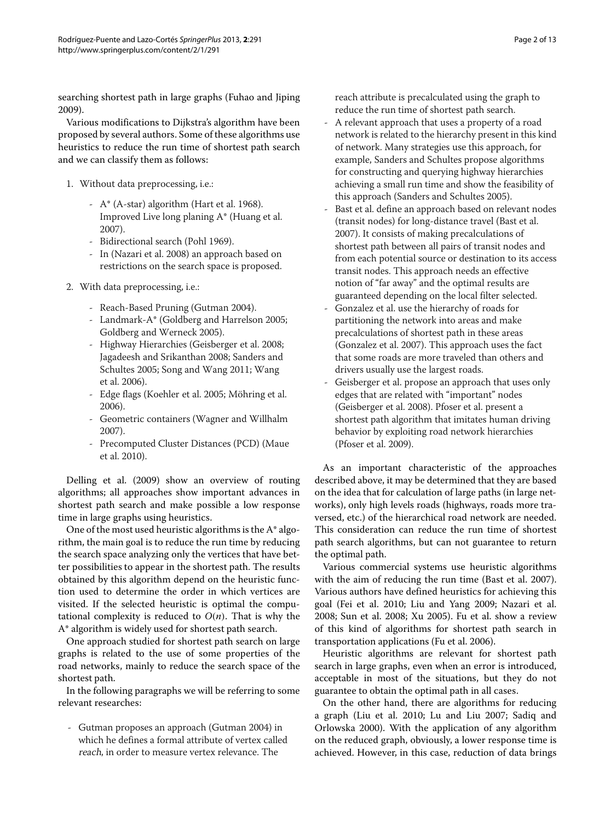searching shortest path in large graphs (Fuhao and Jiping [2009\)](#page-12-3).

Various modifications to Dijkstra's algorithm have been proposed by several authors. Some of these algorithms use heuristics to reduce the run time of shortest path search and we can classify them as follows:

- 1. Without data preprocessing, i.e.:
	- A\* (A-star) algorithm (Hart et al. [1968\)](#page-12-4). Improved Live long planing A\* (Huang et al. [2007\)](#page-12-5).
	- Bidirectional search (Pohl [1969\)](#page-12-6).
	- In (Nazari et al. [2008\)](#page-12-7) an approach based on restrictions on the search space is proposed.
- 2. With data preprocessing, i.e.:
	- Reach-Based Pruning (Gutman [2004\)](#page-12-8).
	- Landmark-A\* (Goldberg and Harrelson [2005;](#page-12-9) Goldberg and Werneck [2005\)](#page-12-10).
	- Highway Hierarchies (Geisberger et al. [2008;](#page-12-11) Jagadeesh and Srikanthan [2008;](#page-12-12) Sanders and Schultes [2005;](#page-12-13) Song and Wang [2011;](#page-12-14) Wang et al. [2006\)](#page-12-15).
	- Edge flags (Koehler et al. [2005;](#page-12-16) Möhring et al. [2006\)](#page-12-17).
	- Geometric containers (Wagner and Willhalm [2007\)](#page-12-18).
	- Precomputed Cluster Distances (PCD) (Maue et al. [2010\)](#page-12-19).

Delling et al. [\(2009\)](#page-11-0) show an overview of routing algorithms; all approaches show important advances in shortest path search and make possible a low response time in large graphs using heuristics.

One of the most used heuristic algorithms is the A\* algorithm, the main goal is to reduce the run time by reducing the search space analyzing only the vertices that have better possibilities to appear in the shortest path. The results obtained by this algorithm depend on the heuristic function used to determine the order in which vertices are visited. If the selected heuristic is optimal the computational complexity is reduced to  $O(n)$ . That is why the A\* algorithm is widely used for shortest path search.

One approach studied for shortest path search on large graphs is related to the use of some properties of the road networks, mainly to reduce the search space of the shortest path.

In the following paragraphs we will be referring to some relevant researches:

- Gutman proposes an approach (Gutman [2004\)](#page-12-8) in which he defines a formal attribute of vertex called reach, in order to measure vertex relevance. The

reach attribute is precalculated using the graph to reduce the run time of shortest path search.

- A relevant approach that uses a property of a road network is related to the hierarchy present in this kind of network. Many strategies use this approach, for example, Sanders and Schultes propose algorithms for constructing and querying highway hierarchies achieving a small run time and show the feasibility of this approach (Sanders and Schultes [2005\)](#page-12-13).
- Bast et al. define an approach based on relevant nodes (transit nodes) for long-distance travel (Bast et al. [2007\)](#page-11-1). It consists of making precalculations of shortest path between all pairs of transit nodes and from each potential source or destination to its access transit nodes. This approach needs an effective notion of "far away" and the optimal results are guaranteed depending on the local filter selected.
- Gonzalez et al. use the hierarchy of roads for partitioning the network into areas and make precalculations of shortest path in these areas (Gonzalez et al. [2007\)](#page-12-20). This approach uses the fact that some roads are more traveled than others and drivers usually use the largest roads.
- Geisberger et al. propose an approach that uses only edges that are related with "important" nodes (Geisberger et al. [2008\)](#page-12-11). Pfoser et al. present a shortest path algorithm that imitates human driving behavior by exploiting road network hierarchies (Pfoser et al. [2009\)](#page-12-21).

As an important characteristic of the approaches described above, it may be determined that they are based on the idea that for calculation of large paths (in large networks), only high levels roads (highways, roads more traversed, etc.) of the hierarchical road network are needed. This consideration can reduce the run time of shortest path search algorithms, but can not guarantee to return the optimal path.

Various commercial systems use heuristic algorithms with the aim of reducing the run time (Bast et al. [2007\)](#page-11-1). Various authors have defined heuristics for achieving this goal (Fei et al. [2010;](#page-12-22) Liu and Yang [2009;](#page-12-23) Nazari et al. [2008;](#page-12-7) Sun et al. [2008;](#page-12-24) Xu [2005\)](#page-12-25). Fu et al. show a review of this kind of algorithms for shortest path search in transportation applications (Fu et al. [2006\)](#page-12-26).

Heuristic algorithms are relevant for shortest path search in large graphs, even when an error is introduced, acceptable in most of the situations, but they do not guarantee to obtain the optimal path in all cases.

On the other hand, there are algorithms for reducing a graph (Liu et al. [2010;](#page-12-27) Lu and Liu [2007;](#page-12-28) Sadiq and Orlowska [2000\)](#page-12-29). With the application of any algorithm on the reduced graph, obviously, a lower response time is achieved. However, in this case, reduction of data brings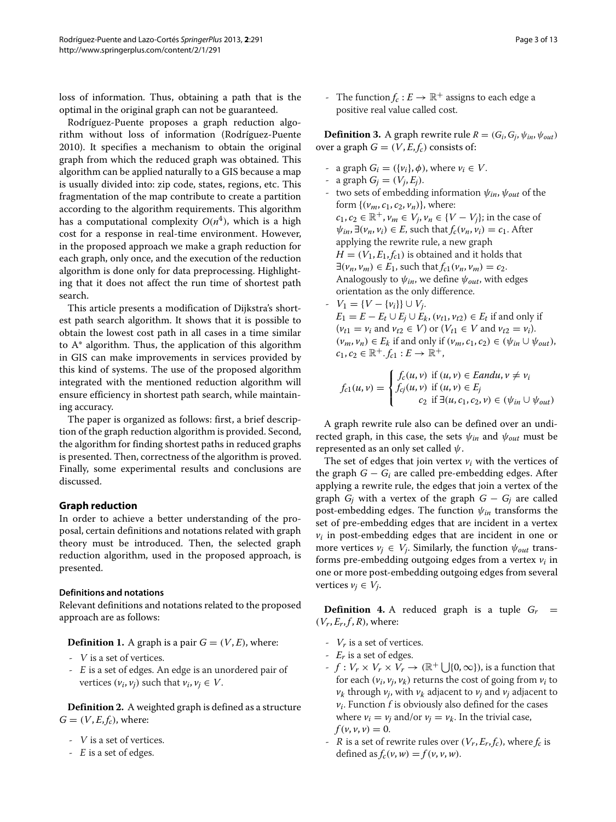loss of information. Thus, obtaining a path that is the optimal in the original graph can not be guaranteed.

Rodríguez-Puente proposes a graph reduction algorithm without loss of information (Rodríguez-Puente [2010\)](#page-12-30). It specifies a mechanism to obtain the original graph from which the reduced graph was obtained. This algorithm can be applied naturally to a GIS because a map is usually divided into: zip code, states, regions, etc. This fragmentation of the map contribute to create a partition according to the algorithm requirements. This algorithm has a computational complexity  $O(n^4)$ , which is a high cost for a response in real-time environment. However, in the proposed approach we make a graph reduction for each graph, only once, and the execution of the reduction algorithm is done only for data preprocessing. Highlighting that it does not affect the run time of shortest path search.

This article presents a modification of Dijkstra's shortest path search algorithm. It shows that it is possible to obtain the lowest cost path in all cases in a time similar to A\* algorithm. Thus, the application of this algorithm in GIS can make improvements in services provided by this kind of systems. The use of the proposed algorithm integrated with the mentioned reduction algorithm will ensure efficiency in shortest path search, while maintaining accuracy.

The paper is organized as follows: first, a brief description of the graph reduction algorithm is provided. Second, the algorithm for finding shortest paths in reduced graphs is presented. Then, correctness of the algorithm is proved. Finally, some experimental results and conclusions are discussed.

# **Graph reduction**

In order to achieve a better understanding of the proposal, certain definitions and notations related with graph theory must be introduced. Then, the selected graph reduction algorithm, used in the proposed approach, is presented.

# **Definitions and notations**

Relevant definitions and notations related to the proposed approach are as follows:

**Definition 1.** A graph is a pair  $G = (V, E)$ , where:

- <sup>V</sup> is a set of vertices.
- <sup>E</sup> is a set of edges. An edge is an unordered pair of vertices  $(v_i, v_j)$  such that  $v_i, v_j \in V$ .

**Definition 2.** A weighted graph is defined as a structure  $G = (V, E, f_c)$ , where:

- <sup>V</sup> is a set of vertices.
- <sup>E</sup> is a set of edges.

- The function  $f_c : E \to \mathbb{R}^+$  assigns to each edge a positive real value called cost.

<span id="page-2-0"></span>**Definition 3.** A graph rewrite rule  $R = (G_i, G_i, \psi_{in}, \psi_{out})$ over a graph  $G = (V, E, f_c)$  consists of:

- a graph  $G_i = (\{v_i\}, \phi)$ , where  $v_i \in V$ .
- a graph  $G_i = (V_i, E_j)$ .
- two sets of embedding information ψ*in*, ψ*out* of the form  $\{ (v_m, c_1, c_2, v_n) \}$ , where: *c*<sub>1</sub>, *c*<sub>2</sub> ∈  $\mathbb{R}^+$ , *v<sub>m</sub>* ∈ *V<sub>j</sub>*, *v<sub>n</sub>* ∈ {*V* − *V<sub>j</sub>*}; in the case of  $\psi_{in}$ ,  $\exists (v_n, v_i) \in E$ , such that  $f_c(v_n, v_i) = c_1$ . After applying the rewrite rule, a new graph  $H = (V_1, E_1, f_{c1})$  is obtained and it holds that  $\exists (v_n, v_m) \in E_1$ , such that  $f_{c1}(v_n, v_m) = c_2$ . Analogously to  $\psi_{in}$ , we define  $\psi_{out}$ , with edges orientation as the only difference.
- $V_1 = \{V \{v_i\}\} \cup V_j.$  $E_1 = E - E_t \cup E_i \cup E_k$ ,  $(v_{t1}, v_{t2}) \in E_t$  if and only if  $(v_{t1} = v_i \text{ and } v_{t2} \in V) \text{ or } (V_{t1} \in V \text{ and } v_{t2} = v_i).$  $(v_m, v_n) \in E_k$  if and only if  $(v_m, c_1, c_2) \in (\psi_{in} \cup \psi_{out}),$  $c_1, c_2 \in \mathbb{R}^+, f_{c1} : E \to \mathbb{R}^+,$

$$
f_{c1}(u, v) = \begin{cases} f_c(u, v) & \text{if } (u, v) \in \text{Landu}, v \neq v_i \\ f_{cj}(u, v) & \text{if } (u, v) \in E_j \\ c_2 & \text{if } \exists (u, c_1, c_2, v) \in (\psi_{in} \cup \psi_{out}) \end{cases}
$$

A graph rewrite rule also can be defined over an undirected graph, in this case, the sets  $\psi_{in}$  and  $\psi_{out}$  must be represented as an only set called  $\psi$ .

The set of edges that join vertex  $v_i$  with the vertices of the graph  $G - G_i$  are called pre-embedding edges. After applying a rewrite rule, the edges that join a vertex of the graph  $G_i$  with a vertex of the graph  $G - G_i$  are called post-embedding edges. The function ψ*in* transforms the set of pre-embedding edges that are incident in a vertex  $v_i$  in post-embedding edges that are incident in one or more vertices  $v_j \in V_j$ . Similarly, the function  $\psi_{out}$  transforms pre-embedding outgoing edges from a vertex *vi* in one or more post-embedding outgoing edges from several vertices  $v_i \in V_i$ .

<span id="page-2-1"></span>**Definition 4.** A reduced graph is a tuple  $G_r$  =  $(V_r, E_r, f, R)$ , where:

- *Vr* is a set of vertices.
- *Er* is a set of edges.
- $f: V_r \times V_r \times V_r \to (\mathbb{R}^+ \bigcup \{0, \infty\})$ , is a function that for each  $(v_i, v_j, v_k)$  returns the cost of going from  $v_i$  to  $v_k$  through  $v_i$ , with  $v_k$  adjacent to  $v_i$  and  $v_j$  adjacent to  $v_i$ . Function  $f$  is obviously also defined for the cases where  $v_i = v_j$  and/or  $v_j = v_k$ . In the trivial case,  $f(\nu, \nu, \nu) = 0.$
- R is a set of rewrite rules over  $(V_r, E_r, f_c)$ , where  $f_c$  is defined as  $f_c(v, w) = f(v, v, w)$ .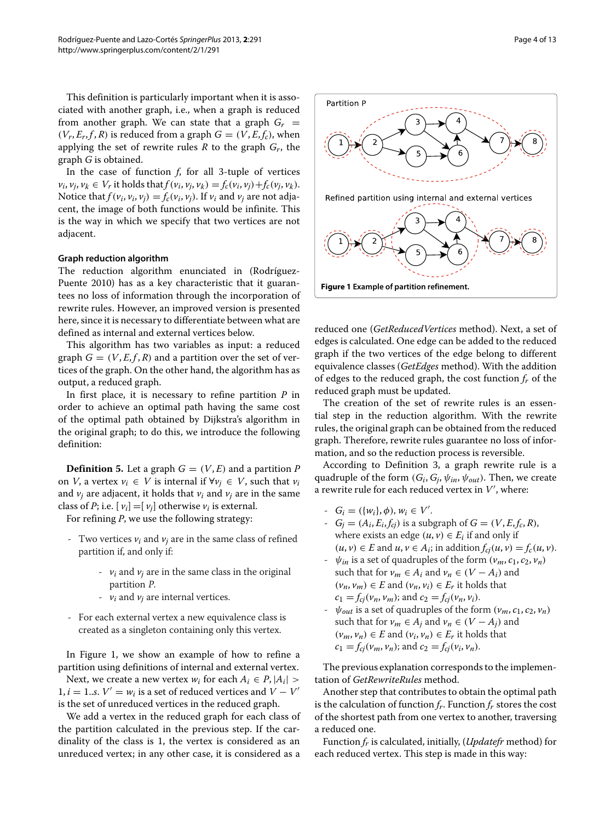This definition is particularly important when it is associated with another graph, i.e., when a graph is reduced from another graph. We can state that a graph  $G_r =$  $(V_r, E_r, f, R)$  is reduced from a graph  $G = (V, E, f_c)$ , when applying the set of rewrite rules *R* to the graph *Gr*, the graph *G* is obtained.

In the case of function *f*, for all 3-tuple of vertices  $v_i, v_j, v_k \in V_r$  it holds that  $f(v_i, v_j, v_k) = f_c(v_i, v_j) + f_c(v_j, v_k)$ . Notice that  $f(v_i, v_i, v_j) = f_c(v_i, v_j)$ . If  $v_i$  and  $v_j$  are not adjacent, the image of both functions would be infinite. This is the way in which we specify that two vertices are not adjacent.

### **Graph reduction algorithm**

The reduction algorithm enunciated in (Rodríguez-Puente [2010\)](#page-12-30) has as a key characteristic that it guarantees no loss of information through the incorporation of rewrite rules. However, an improved version is presented here, since it is necessary to differentiate between what are defined as internal and external vertices below.

This algorithm has two variables as input: a reduced graph  $G = (V, E, f, R)$  and a partition over the set of vertices of the graph. On the other hand, the algorithm has as output, a reduced graph.

In first place, it is necessary to refine partition *P* in order to achieve an optimal path having the same cost of the optimal path obtained by Dijkstra's algorithm in the original graph; to do this, we introduce the following definition:

**Definition 5.** Let a graph  $G = (V, E)$  and a partition *P* on *V*, a vertex *v<sub>i</sub>* ∈ *V* is internal if  $∀v_i ∈ V$ , such that *v<sub>i</sub>* and  $v_i$  are adjacent, it holds that  $v_i$  and  $v_j$  are in the same class of *P*; i.e.  $[v_i] = [v_i]$  otherwise  $v_i$  is external.

For refining *P*, we use the following strategy:

- Two vertices  $v_i$  and  $v_j$  are in the same class of refined partition if, and only if:
	- $v_i$  and  $v_i$  are in the same class in the original partition <sup>P</sup>.
	- *vi* and *vj* are internal vertices.
- For each external vertex a new equivalence class is created as a singleton containing only this vertex.

In Figure [1,](#page-3-0) we show an example of how to refine a partition using definitions of internal and external vertex.

Next, we create a new vertex  $w_i$  for each  $A_i \in P$ ,  $|A_i|$  >  $1, i = 1...$ *s.*  $V' = w_i$  is a set of reduced vertices and  $V - V'$ is the set of unreduced vertices in the reduced graph.

We add a vertex in the reduced graph for each class of the partition calculated in the previous step. If the cardinality of the class is 1, the vertex is considered as an unreduced vertex; in any other case, it is considered as a



<span id="page-3-0"></span>reduced one (*GetReducedVertices* method). Next, a set of edges is calculated. One edge can be added to the reduced graph if the two vertices of the edge belong to different equivalence classes (*GetEdges* method). With the addition of edges to the reduced graph, the cost function *fr* of the reduced graph must be updated.

The creation of the set of rewrite rules is an essential step in the reduction algorithm. With the rewrite rules, the original graph can be obtained from the reduced graph. Therefore, rewrite rules guarantee no loss of information, and so the reduction process is reversible.

According to Definition [3,](#page-2-0) a graph rewrite rule is a quadruple of the form  $(G_i, G_j, \psi_{in}, \psi_{out})$ . Then, we create a rewrite rule for each reduced vertex in  $V^{\prime}$ , where:

- $-G_i = (\{w_i\}, \phi), w_i \in V'.$
- $G_i = (A_i, E_i, f_{ci})$  is a subgraph of  $G = (V, E, f_c, R)$ , where exists an edge  $(u, v) \in E_i$  if and only if  $(u, v) \in E$  and  $u, v \in A_i$ ; in addition  $f_{cj}(u, v) = f_c(u, v)$ .
- $\psi_{in}$  is a set of quadruples of the form  $(\nu_m, c_1, c_2, \nu_n)$ such that for  $v_m \in A_i$  and  $v_n \in (V - A_i)$  and  $(v_n, v_m) \in E$  and  $(v_n, v_i) \in E_r$  it holds that  $c_1 = f_{ci}(v_n, v_m)$ ; and  $c_2 = f_{cj}(v_n, v_i)$ .
- $\psi_{out}$  is a set of quadruples of the form  $(\nu_m, c_1, c_2, \nu_n)$ such that for  $v_m \in A_j$  and  $v_n \in (V - A_j)$  and  $(v_m, v_n) \in E$  and  $(v_i, v_n) \in E_r$  it holds that  $c_1 = f_{cj}(v_m, v_n)$ ; and  $c_2 = f_{cj}(v_i, v_n)$ .

The previous explanation corresponds to the implementation of *GetRewriteRules* method.

Another step that contributes to obtain the optimal path is the calculation of function  $f_r$ . Function  $f_r$  stores the cost of the shortest path from one vertex to another, traversing a reduced one.

Function *fr* is calculated, initially, (*Updatefr* method) for each reduced vertex. This step is made in this way: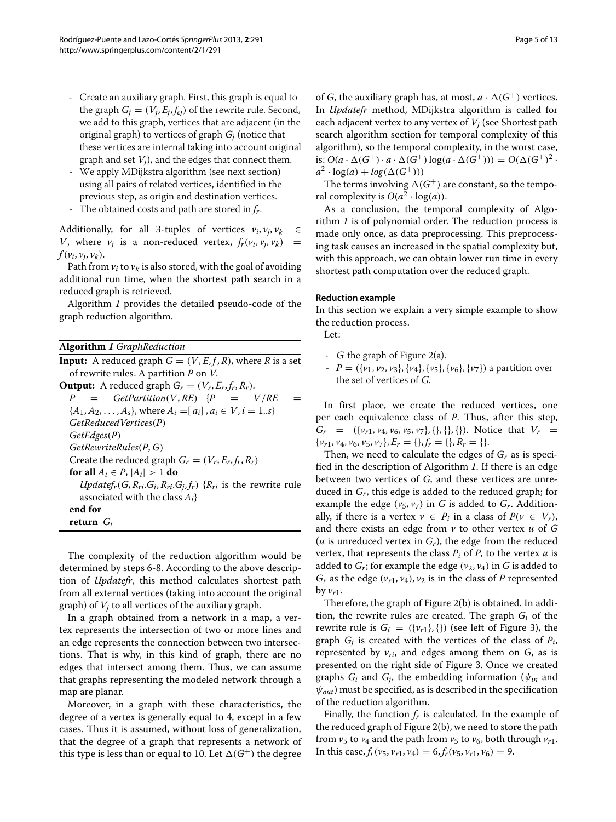- Create an auxiliary graph. First, this graph is equal to the graph  $G_i = (V_i, E_i, f_{ci})$  of the rewrite rule. Second, we add to this graph, vertices that are adjacent (in the original graph) to vertices of graph *Gj* (notice that these vertices are internal taking into account original graph and set *Vj*), and the edges that connect them.
- We apply MDijkstra algorithm (see next section) using all pairs of related vertices, identified in the previous step, as origin and destination vertices.
- The obtained costs and path are stored in  $f_r$ .

Additionally, for all 3-tuples of vertices  $v_i$ ,  $v_j$ ,  $v_k \in$ *V*, where  $v_i$  is a non-reduced vertex,  $f_r(v_i, v_i, v_k)$  =  $f(\nu_i, \nu_i, \nu_k)$ .

Path from  $v_i$  to  $v_k$  is also stored, with the goal of avoiding additional run time, when the shortest path search in a reduced graph is retrieved.

Algorithm *[1](#page-4-0)* provides the detailed pseudo-code of the graph reduction algorithm.

|  | <b>Algorithm 1</b> GraphReduction |
|--|-----------------------------------|
|--|-----------------------------------|

**Input:** A reduced graph  $G = (V, E, f, R)$ , where *R* is a set of rewrite rules. A partition *P* on *V*. **Output:** A reduced graph  $G_r = (V_r, E_r, f_r, R_r)$ .<br>  $P = GetPartition(V, RE)$  { $P =$  $GetPartition(V, RE)$  { $P = V/RE =$  ${A_1, A_2, \ldots, A_s}$ , where  $A_i = [a_i], a_i \in V, i = 1..s$ *GetReducedVertices*(*P*) *GetEdges*(*P*) *GetRewriteRules*(*P*, *G*) Create the reduced graph  $G_r = (V_r, E_r, f_r, R_r)$ **for all**  $A_i \in P$ ,  $|A_i| > 1$  **do**  $Updatefr(G, R_{ri}.G_i, R_{ri}.G_j, f_r)$  { $R_{ri}$  is the rewrite rule associated with the class *Ai*} **end for return** *Gr*

<span id="page-4-2"></span><span id="page-4-0"></span>The complexity of the reduction algorithm would be determined by steps [6-](#page-4-1)[8.](#page-4-2) According to the above description of *Updatefr*, this method calculates shortest path from all external vertices (taking into account the original graph) of *Vj* to all vertices of the auxiliary graph.

In a graph obtained from a network in a map, a vertex represents the intersection of two or more lines and an edge represents the connection between two intersections. That is why, in this kind of graph, there are no edges that intersect among them. Thus, we can assume that graphs representing the modeled network through a map are planar.

Moreover, in a graph with these characteristics, the degree of a vertex is generally equal to 4, except in a few cases. Thus it is assumed, without loss of generalization, that the degree of a graph that represents a network of this type is less than or equal to 10. Let  $\Delta(G^+)$  the degree

of *G*, the auxiliary graph has, at most,  $a \cdot \Delta(G^+)$  vertices. In *Updatefr* method, MDijkstra algorithm is called for each adjacent vertex to any vertex of *Vj* (see Shortest path search algorithm section for temporal complexity of this algorithm), so the temporal complexity, in the worst case, is:  $O(a \cdot \Delta(G^+) \cdot a \cdot \Delta(G^+) \log(a \cdot \Delta(G^+))) = O(\Delta(G^+)^2)$ .  $a^2 \cdot \log(a) + \log(\Delta(G^+)))$ 

The terms involving  $\Delta(G^+)$  are constant, so the temporal complexity is  $O(a^2 \cdot \log(a))$ .

As a conclusion, the temporal complexity of Algorithm *[1](#page-4-0)* is of polynomial order. The reduction process is made only once, as data preprocessing. This preprocessing task causes an increased in the spatial complexity but, with this approach, we can obtain lower run time in every shortest path computation over the reduced graph.

# **Reduction example**

In this section we explain a very simple example to show the reduction process.

Let:

- <sup>G</sup> the graph of Figure [2\(](#page-5-0)a).
- $P = (\{v_1, v_2, v_3\}, \{v_4\}, \{v_5\}, \{v_6\}, \{v_7\})$  a partition over the set of vertices of <sup>G</sup>.

In first place, we create the reduced vertices, one per each equivalence class of *P*. Thus, after this step,  $G_r = (\{v_{r1}, v_4, v_6, v_5, v_7\}, \{\}, \{\}, \{\}, \{\})$ . Notice that  $V_r =$  $\{v_{r1}, v_4, v_6, v_5, v_7\}, E_r = \{\}, f_r = \{\}, R_r = \{\}.$ 

<span id="page-4-1"></span>Then, we need to calculate the edges of *Gr* as is specified in the description of Algorithm *[1](#page-4-0)*. If there is an edge between two vertices of *G*, and these vertices are unreduced in *Gr*, this edge is added to the reduced graph; for example the edge  $(v_5, v_7)$  in *G* is added to  $G_r$ . Additionally, if there is a vertex  $v \in P_i$  in a class of  $P(v \in V_r)$ , and there exists an edge from *v* to other vertex *u* of *G* ( $u$  is unreduced vertex in  $G_r$ ), the edge from the reduced vertex, that represents the class  $P_i$  of  $P$ , to the vertex  $u$  is added to  $G_r$ ; for example the edge  $(v_2, v_4)$  in  $G$  is added to  $G_r$  as the edge  $(\nu_{r1}, \nu_4), \nu_2$  is in the class of *P* represented by  $v_{r1}$ .

Therefore, the graph of Figure [2\(](#page-5-0)b) is obtained. In addition, the rewrite rules are created. The graph  $G_i$  of the rewrite rule is  $G_i = (\{v_{r1}\}, \{\})$  (see left of Figure [3\)](#page-5-1), the graph *Gj* is created with the vertices of the class of *Pi*, represented by  $v_{ri}$ , and edges among them on  $G$ , as is presented on the right side of Figure [3.](#page-5-1) Once we created graphs  $G_i$  and  $G_i$ , the embedding information ( $\psi_{in}$  and  $\psi_{out}$ ) must be specified, as is described in the specification of the reduction algorithm.

Finally, the function  $f_r$  is calculated. In the example of the reduced graph of Figure [2\(](#page-5-0)b), we need to store the path from  $v_5$  to  $v_4$  and the path from  $v_5$  to  $v_6$ , both through  $v_{r1}$ . In this case,  $f_r(v_5, v_{r1}, v_4) = 6, f_r(v_5, v_{r1}, v_6) = 9.$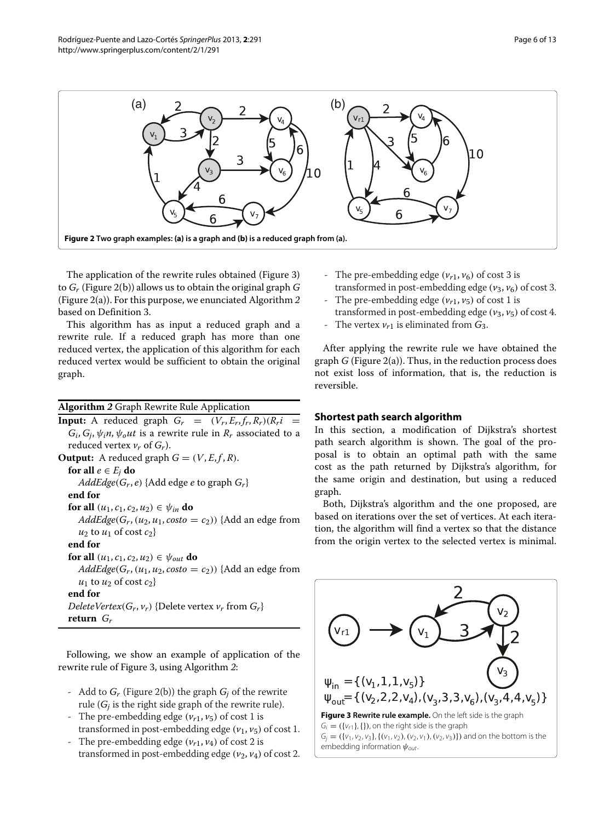

<span id="page-5-0"></span>The application of the rewrite rules obtained (Figure [3\)](#page-5-1) to *Gr* (Figure [2\(](#page-5-0)b)) allows us to obtain the original graph *G* (Figure [2\(](#page-5-0)a)). For this purpose, we enunciated Algorithm *[2](#page-5-2)* based on Definition [3.](#page-2-0)

This algorithm has as input a reduced graph and a rewrite rule. If a reduced graph has more than one reduced vertex, the application of this algorithm for each reduced vertex would be sufficient to obtain the original graph.

**Algorithm** *2* Graph Rewrite Rule Application

**Input:** A reduced graph  $G_r = (V_r, E_r, f_r, R_r)(R_r i)$  $G_i$ ,  $G_j$ ,  $\psi_i$ *n*,  $\psi_o$ *ut* is a rewrite rule in  $R_r$  associated to a reduced vertex  $v_r$  of  $G_r$ ). **Output:** A reduced graph  $G = (V, E, f, R)$ . **for all**  $e \in E_i$  **do**  $AddEdge(G_r, e)$  {Add edge *e* to graph  $G_r$ } **end for for all**  $(u_1, c_1, c_2, u_2) \in \psi_{in}$  **do**  $AddEdge(G_r, (u_2, u_1, costo = c_2))$  {Add an edge from  $u_2$  to  $u_1$  of cost  $c_2$ } **end for for all**  $(u_1, c_1, c_2, u_2) \in \psi_{out}$  **do**  $AddEdge(G_r, (u_1, u_2, costo = c_2))$  {Add an edge from  $u_1$  to  $u_2$  of cost  $c_2$ } **end for** *DeleteVertex*( $G_r$ ,  $v_r$ ) {Delete vertex  $v_r$  from  $G_r$ } **return** *Gr*

<span id="page-5-2"></span>Following, we show an example of application of the rewrite rule of Figure [3,](#page-5-1) using Algorithm *[2](#page-5-2)*:

- Add to *Gr* (Figure [2\(](#page-5-0)b)) the graph *Gj* of the rewrite rule (*Gj* is the right side graph of the rewrite rule).
- The pre-embedding edge  $(v_{r1}, v_5)$  of cost 1 is transformed in post-embedding edge  $(v_1, v_5)$  of cost 1.
- The pre-embedding edge  $(v_{r1}, v_4)$  of cost 2 is transformed in post-embedding edge  $(v_2, v_4)$  of cost 2.
- The pre-embedding edge  $(\nu_{r1}, \nu_6)$  of cost 3 is transformed in post-embedding edge  $(v_3, v_6)$  of cost 3.
- The pre-embedding edge  $(\nu_{r1}, \nu_5)$  of cost 1 is
- transformed in post-embedding edge (*v*3, *v*5) of cost 4.
- The vertex  $v_{r1}$  is eliminated from  $G_3$ .

After applying the rewrite rule we have obtained the graph *G* (Figure [2\(](#page-5-0)a)). Thus, in the reduction process does not exist loss of information, that is, the reduction is reversible.

# **Shortest path search algorithm**

In this section, a modification of Dijkstra's shortest path search algorithm is shown. The goal of the proposal is to obtain an optimal path with the same cost as the path returned by Dijkstra's algorithm, for the same origin and destination, but using a reduced graph.

Both, Dijkstra's algorithm and the one proposed, are based on iterations over the set of vertices. At each iteration, the algorithm will find a vertex so that the distance from the origin vertex to the selected vertex is minimal.

<span id="page-5-1"></span>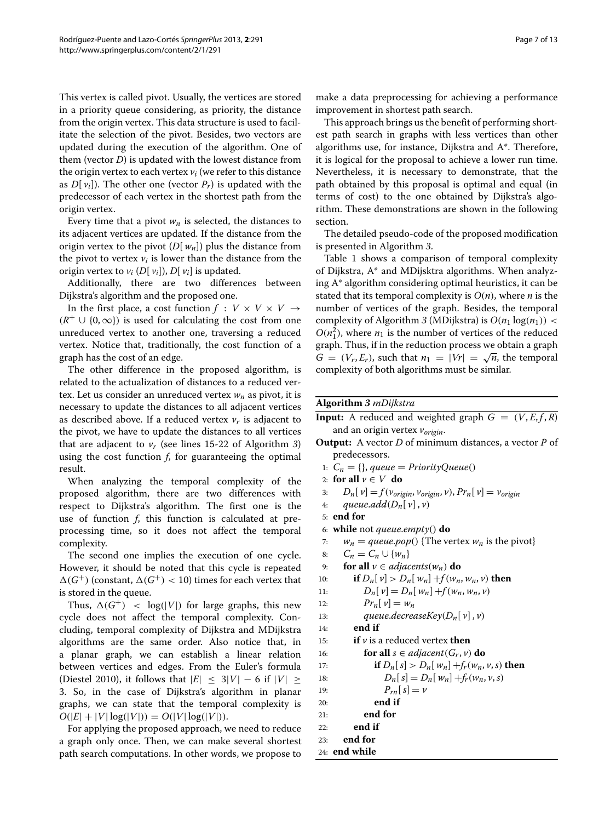This vertex is called pivot. Usually, the vertices are stored in a priority queue considering, as priority, the distance from the origin vertex. This data structure is used to facilitate the selection of the pivot. Besides, two vectors are updated during the execution of the algorithm. One of them (vector *D*) is updated with the lowest distance from the origin vertex to each vertex  $v_i$  (we refer to this distance as  $D[v_i]$ ). The other one (vector  $P_r$ ) is updated with the predecessor of each vertex in the shortest path from the origin vertex.

Every time that a pivot  $w_n$  is selected, the distances to its adjacent vertices are updated. If the distance from the origin vertex to the pivot (*D*[ *wn*]) plus the distance from the pivot to vertex  $v_i$  is lower than the distance from the origin vertex to  $v_i$  (*D*[ $v_i$ ]), *D*[ $v_i$ ] is updated.

Additionally, there are two differences between Dijkstra's algorithm and the proposed one.

In the first place, a cost function  $f : V \times V \times V \rightarrow$  $(R^+ \cup \{0,\infty\})$  is used for calculating the cost from one unreduced vertex to another one, traversing a reduced vertex. Notice that, traditionally, the cost function of a graph has the cost of an edge.

The other difference in the proposed algorithm, is related to the actualization of distances to a reduced vertex. Let us consider an unreduced vertex  $w_n$  as pivot, it is necessary to update the distances to all adjacent vertices as described above. If a reduced vertex  $v_r$  is adjacent to the pivot, we have to update the distances to all vertices that are adjacent to  $v_r$  (see lines [15-](#page-6-0)[22](#page-6-1) of Algorithm [3](#page-6-2)) using the cost function *f*, for guaranteeing the optimal result.

When analyzing the temporal complexity of the proposed algorithm, there are two differences with respect to Dijkstra's algorithm. The first one is the use of function *f*, this function is calculated at preprocessing time, so it does not affect the temporal complexity.

The second one implies the execution of one cycle. However, it should be noted that this cycle is repeated  $\Delta(G^+)$  (constant,  $\Delta(G^+)$  < 10) times for each vertex that is stored in the queue.

Thus,  $\Delta(G^+)$  < log(|V|) for large graphs, this new cycle does not affect the temporal complexity. Concluding, temporal complexity of Dijkstra and MDijkstra algorithms are the same order. Also notice that, in a planar graph, we can establish a linear relation between vertices and edges. From the Euler's formula (Diestel [2010\)](#page-12-31), it follows that  $|E| \leq 3|V| - 6$  if  $|V| \geq$ 3. So, in the case of Dijkstra's algorithm in planar graphs, we can state that the temporal complexity is  $O(|E| + |V| \log(|V|)) = O(|V| \log(|V|)).$ 

For applying the proposed approach, we need to reduce a graph only once. Then, we can make several shortest path search computations. In other words, we propose to make a data preprocessing for achieving a performance improvement in shortest path search.

This approach brings us the benefit of performing shortest path search in graphs with less vertices than other algorithms use, for instance, Dijkstra and A\*. Therefore, it is logical for the proposal to achieve a lower run time. Nevertheless, it is necessary to demonstrate, that the path obtained by this proposal is optimal and equal (in terms of cost) to the one obtained by Dijkstra's algorithm. These demonstrations are shown in the following section.

The detailed pseudo-code of the proposed modification is presented in Algorithm *[3](#page-6-2)*.

Table [1](#page-7-0) shows a comparison of temporal complexity of Dijkstra, A\* and MDijsktra algorithms. When analyzing A\* algorithm considering optimal heuristics, it can be stated that its temporal complexity is  $O(n)$ , where *n* is the number of vertices of the graph. Besides, the temporal complexity of Algorithm [3](#page-6-2) (MDijkstra) is  $O(n_1 \log(n_1))$  <  $O(n_1^2)$ , where  $n_1$  is the number of vertices of the reduced graph. Thus, if in the reduction process we obtain a graph  $G = (V_r, E_r)$ , such that  $n_1 = |V_r| = \sqrt{n}$ , the temporal complexity of both algorithms must be similar.

# **Algorithm** *3 mDijkstra*

**Input:** A reduced and weighted graph  $G = (V, E, f, R)$ and an origin vertex *vorigin*.

- **Output:** A vector *D* of minimum distances, a vector *P* of predecessors.
- 1:  $C_n = \{\},\text{queue} = \text{PriorityQueue}()$
- 2: **for all**  $v \in V$  **do**

3: 
$$
D_n[v] = f(v_{origin}, v_{origin}, v), Pr_n[v] = v_{origin}
$$

4: *queue.add*
$$
(D_n[v], v)
$$

- 5: **end for**
- 6: **while** not *queue*.*empty*() **do**
- 7:  $w_n = queue.pop()$  {The vertex  $w_n$  is the pivot}<br>8:  $C_n = C_n \cup \{w_n\}$
- $C_n = C_n \cup \{w_n\}$
- 9: **for all**  $v \in \textit{adjacents}(w_n)$  **do**<br>10: **if**  $D_w[v] > D_w[w_n] + f(w_n)$
- 10: **if**  $D_n[v] > D_n[w_n] + f(w_n, w_n, v)$  then<br>11:  $D_n[v] = D_n[w_n] + f(w_n, w_n, v)$

11: 
$$
D_n[v] = D_n[w_n] + f(w_n, w_n, v)
$$

$$
12: \t\t Pr_n[v] = w_n
$$

13: *queue.decreaseKey*( $D_n[v], v$ )

<span id="page-6-0"></span>14: **end if**

15: **if**  $\nu$  **is** a reduced vertex **then** 

```
16: for all s \in adjacent(G_r, v) do
17: if D_n[s] > D_n[w_n] + f_r(w_n, v, s) then
18: D_n[s] = D_n[w_n] + f_r(w_n, v, s)19: P_{rn}[s] = v20: end if
21: end for
22: end if
23: end for
```

```
24: end while
```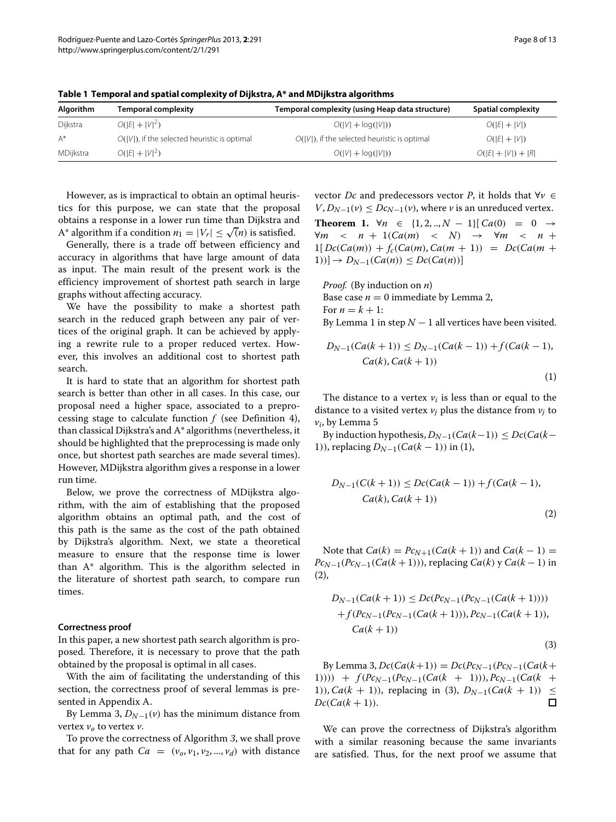| Algorithm | <b>Temporal complexity</b>                      | Temporal complexity (using Heap data structure) | <b>Spatial complexity</b> |
|-----------|-------------------------------------------------|-------------------------------------------------|---------------------------|
| Dijkstra  | $O( E  +  V ^2)$                                | $O( V  + log( V ))$                             | $O( E  +  V )$            |
| A*        | $O( V )$ , if the selected heuristic is optimal | $O( V )$ , if the selected heuristic is optimal | $O( E  +  V )$            |
| MDijkstra | $O( E  +  V ^2)$                                | $O( V  + log( V ))$                             | $O( E  +  V ) +  R $      |
|           |                                                 |                                                 |                           |

<span id="page-7-0"></span>**Table 1 Temporal and spatial complexity of Dijkstra, A\* and MDijkstra algorithms**

However, as is impractical to obtain an optimal heuristics for this purpose, we can state that the proposal obtains a response in a lower run time than Dijkstra and A\* algorithm if a condition  $n_1 = |V_r| \le \sqrt{n}$  is satisfied.

Generally, there is a trade off between efficiency and accuracy in algorithms that have large amount of data as input. The main result of the present work is the efficiency improvement of shortest path search in large graphs without affecting accuracy.

We have the possibility to make a shortest path search in the reduced graph between any pair of vertices of the original graph. It can be achieved by applying a rewrite rule to a proper reduced vertex. However, this involves an additional cost to shortest path search.

It is hard to state that an algorithm for shortest path search is better than other in all cases. In this case, our proposal need a higher space, associated to a preprocessing stage to calculate function *f* (see Definition [4\)](#page-2-1), than classical Dijkstra's and A\* algorithms (nevertheless, it should be highlighted that the preprocessing is made only once, but shortest path searches are made several times). However, MDijkstra algorithm gives a response in a lower run time.

Below, we prove the correctness of MDijkstra algorithm, with the aim of establishing that the proposed algorithm obtains an optimal path, and the cost of this path is the same as the cost of the path obtained by Dijkstra's algorithm. Next, we state a theoretical measure to ensure that the response time is lower than A\* algorithm. This is the algorithm selected in the literature of shortest path search, to compare run times.

### **Correctness proof**

In this paper, a new shortest path search algorithm is proposed. Therefore, it is necessary to prove that the path obtained by the proposal is optimal in all cases.

With the aim of facilitating the understanding of this section, the correctness proof of several lemmas is presented in Appendix A.

By Lemma [3,](#page-11-2)  $D_{N-1}(v)$  has the minimum distance from vertex  $v_0$  to vertex  $v$ .

To prove the correctness of Algorithm *[3](#page-6-2)*, we shall prove that for any path  $Ca = (v_0, v_1, v_2, ..., v_d)$  with distance

vector *Dc* and predecessors vector *P*, it holds that ∀*v* ∈  $V, D_{N-1}(v) \leq Dc_{N-1}(v)$ , where *v* is an unreduced vertex.

**Theorem 1.** ∀*n* ∈ {1, 2, .., *N* − 1}[ $Ca(0) = 0 \rightarrow$  $\forall m \leq n + 1(Ca(m) \leq N) \rightarrow \forall m \leq n + 1$  $1[ Dc(Ca(m)) + f_c(Ca(m), Ca(m + 1)) = Dc(Ca(m + 1))$ 1))] →  $D_{N-1}(Ca(n))$  ≤  $Dc(Ca(n))$ ]

*Proof.* (By induction on *n*) Base case  $n = 0$  immediate by Lemma [2,](#page-11-3) For  $n = k + 1$ :

By Lemma [1](#page-10-0) in step  $N-1$  all vertices have been visited.

<span id="page-7-1"></span>
$$
D_{N-1}(Ca(k + 1)) \le D_{N-1}(Ca(k-1)) + f(Ca(k-1)),
$$
  
Ca(k), Ca(k + 1)) (1)

The distance to a vertex  $v_i$  is less than or equal to the distance to a visited vertex  $v_i$  plus the distance from  $v_i$  to *vi*, by Lemma [5](#page-11-4)

By induction hypothesis,  $D_{N-1}(Ca(k-1)) \leq Dc(Ca(k-1))$ 1)), replacing *DN*−1(*Ca*(*k* − 1)) in [\(1\)](#page-7-1),

<span id="page-7-2"></span>
$$
D_{N-1}(C(k+1)) \le Dc(Ca(k-1)) + f(Ca(k-1)),
$$
  
Ca(k), Ca(k+1)) (2)

Note that  $Ca(k) = Po_{N+1}(Ca(k+1))$  and  $Ca(k-1) =$  $P_{CN-1}(P_{CN-1}(Ca(k+1)))$ , replacing  $Ca(k)$  y  $Ca(k-1)$  in [\(2\)](#page-7-2),

<span id="page-7-3"></span>
$$
D_{N-1}(Ca(k + 1)) \le Dc(Pc_{N-1}(Pc_{N-1}(Ca(k + 1)))) + f(Pc_{N-1}(Pc_{N-1}(Ca(k + 1))), Pc_{N-1}(Ca(k + 1)),
$$
  
\n
$$
Ca(k + 1))
$$
\n(3)

 $By$  Lemma [3,](#page-11-2)  $Dc(Ca(k+1)) = Dc(Pc_{N-1}(Pc_{N-1}(Ca(k+1)))$ 1)))) +  $f(Pc_{N-1}(Pc_{N-1}(Ca(k + 1))), Pc_{N-1}(Ca(k + 1)), Ca(k + 1))$ , replacing in (3),  $D_{N-1}(Ca(k + 1)) <$ 1)), *Ca*(*k* + 1)), replacing in [\(3\)](#page-7-3), *D<sub>N−1</sub>*(*Ca*(*k* + 1)) ≤ *Dc*(*Ca*(*k* + 1)).  $Dc(Ca(k+1)).$ 

We can prove the correctness of Dijkstra's algorithm with a similar reasoning because the same invariants are satisfied. Thus, for the next proof we assume that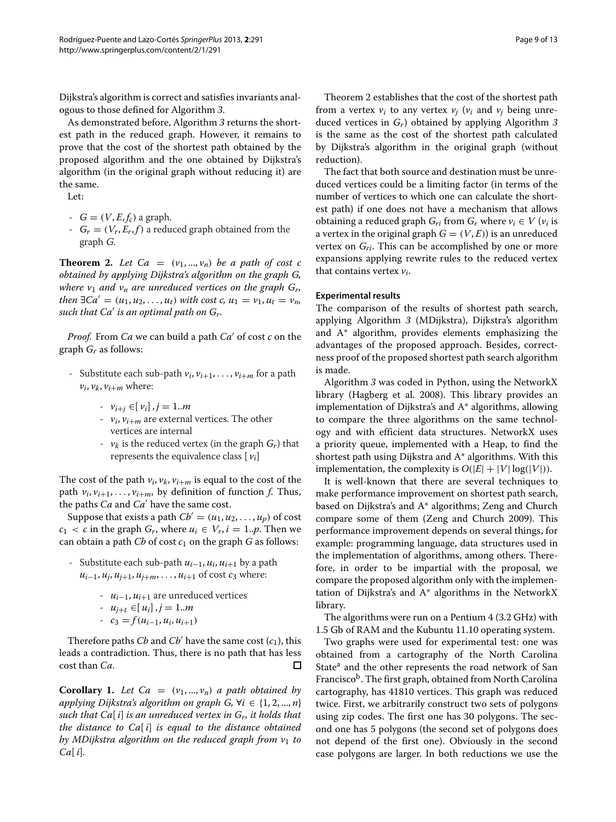Dijkstra's algorithm is correct and satisfies invariants analogous to those defined for Algorithm *[3](#page-6-2)*.

As demonstrated before, Algorithm *[3](#page-6-2)* returns the shortest path in the reduced graph. However, it remains to prove that the cost of the shortest path obtained by the proposed algorithm and the one obtained by Dijkstra's algorithm (in the original graph without reducing it) are the same.

Let:

- $G = (V, E, f_c)$  a graph.
- $-G_r = (V_r, E_r, f)$  a reduced graph obtained from the graph <sup>G</sup>.

<span id="page-8-0"></span>**Theorem 2.** Let Ca =  $(v_1, ..., v_n)$  be a path of cost c *obtained by applying Dijkstra's algorithm on the graph G, where*  $v_1$  *and*  $v_n$  *are unreduced vertices on the graph*  $G_r$ *, then*  $\exists Ca' = (u_1, u_2, \ldots, u_t)$  *with cost c,*  $u_1 = v_1, u_t = v_n$ , *such that Ca is an optimal path on Gr.*

*Proof.* From *Ca* we can build a path  $Ca'$  of cost  $c$  on the graph *Gr* as follows:

- Substitute each sub-path  $v_i$ ,  $v_{i+1}$ , ...,  $v_{i+m}$  for a path  $v_i$ ,  $v_k$ ,  $v_{i+m}$  where:
	- *vi*+*<sup>j</sup>* ∈[ *vi*] , *j* = 1..*m*
	- $v_i$ ,  $v_{i+m}$  are external vertices. The other vertices are internal
	- $v_k$  is the reduced vertex (in the graph  $G_r$ ) that represents the equivalence class  $[v_i]$

The cost of the path  $v_i$ ,  $v_k$ ,  $v_{i+m}$  is equal to the cost of the path  $v_i$ ,  $v_{i+1}$ , ...,  $v_{i+m}$ , by definition of function *f*. Thus, the paths *Ca* and *Ca*<sup>'</sup> have the same cost.

Suppose that exists a path  $Cb' = (u_1, u_2, \ldots, u_n)$  of cost  $c_1 < c$  in the graph  $G_r$ , where  $u_i \in V_r$ ,  $i = 1..p$ . Then we can obtain a path *Cb* of cost  $c_1$  on the graph *G* as follows:

- Substitute each sub-path *ui*−1, *ui*, *ui*+<sup>1</sup> by a path *u*<sub>*i*−1</sub>, *u*<sub>*i*</sub>, *u*<sub>*i*+1</sub>, *u*<sub>*i*+*m*</sub>, . . . , *u*<sub>*i*+1</sub> of cost *c*<sub>3</sub> where:
	- *ui*−1, *ui*+<sup>1</sup> are unreduced vertices

$$
-u_{j+t}\in[u_i], j=1..m
$$

$$
- c_3 = f(u_{i-1}, u_i, u_{i+1})
$$

Therefore paths *Cb* and *Cb'* have the same cost  $(c_1)$ , this leads a contradiction. Thus, there is no path that has less cost than *Ca*.

**Corollary 1.** Let  $Ca = (v_1, ..., v_n)$  *a path obtained by applying Dijkstra's algorithm on graph G,*  $\forall i \in \{1, 2, ..., n\}$ *such that Ca*[ *i*] *is an unreduced vertex in Gr, it holds that the distance to Ca*[ *i*] *is equal to the distance obtained by MDijkstra algorithm on the reduced graph from v*<sup>1</sup> *to Ca*[ *i*]*.*

Theorem [2](#page-8-0) establishes that the cost of the shortest path from a vertex  $v_i$  to any vertex  $v_i$  ( $v_i$  and  $v_j$  being unreduced vertices in *Gr*) obtained by applying Algorithm *[3](#page-6-2)* is the same as the cost of the shortest path calculated by Dijkstra's algorithm in the original graph (without reduction).

The fact that both source and destination must be unreduced vertices could be a limiting factor (in terms of the number of vertices to which one can calculate the shortest path) if one does not have a mechanism that allows obtaining a reduced graph  $G_{ri}$  from  $G_r$  where  $v_i \in V$  ( $v_i$  is a vertex in the original graph  $G = (V, E)$  is an unreduced vertex on *Gri*. This can be accomplished by one or more expansions applying rewrite rules to the reduced vertex that contains vertex *vi*.

### **Experimental results**

The comparison of the results of shortest path search, applying Algorithm *[3](#page-6-2)* (MDijkstra), Dijkstra's algorithm and A\* algorithm, provides elements emphasizing the advantages of the proposed approach. Besides, correctness proof of the proposed shortest path search algorithm is made.

Algorithm *[3](#page-6-2)* was coded in Python, using the NetworkX library (Hagberg et al. 2008). This library provides an implementation of Dijkstra's and A\* algorithms, allowing to compare the three algorithms on the same technology and with efficient data structures. NetworkX uses a priority queue, implemented with a Heap, to find the shortest path using Dijkstra and A\* algorithms. With this implementation, the complexity is  $O(|E|+|V|\log(|V|)).$ 

It is well-known that there are several techniques to make performance improvement on shortest path search, based on Dijkstra's and A\* algorithms; Zeng and Church compare some of them (Zeng and Church [2009\)](#page-12-32). This performance improvement depends on several things, for example: programming language, data structures used in the implementation of algorithms, among others. Therefore, in order to be impartial with the proposal, we compare the proposed algorithm only with the implementation of Dijkstra's and A\* algorithms in the NetworkX library.

The algorithms were run on a Pentium 4 (3.2 GHz) with 1.5 Gb of RAM and the Kubuntu 11.10 operating system.

Two graphs were used for experimental test: one was obtained from a cartography of the North Carolina State<sup>a</sup> and the other represents the road network of San Francisco<sup>b</sup>. The first graph, obtained from North Carolina cartography, has 41810 vertices. This graph was reduced twice. First, we arbitrarily construct two sets of polygons using zip codes. The first one has 30 polygons. The second one has 5 polygons (the second set of polygons does not depend of the first one). Obviously in the second case polygons are larger. In both reductions we use the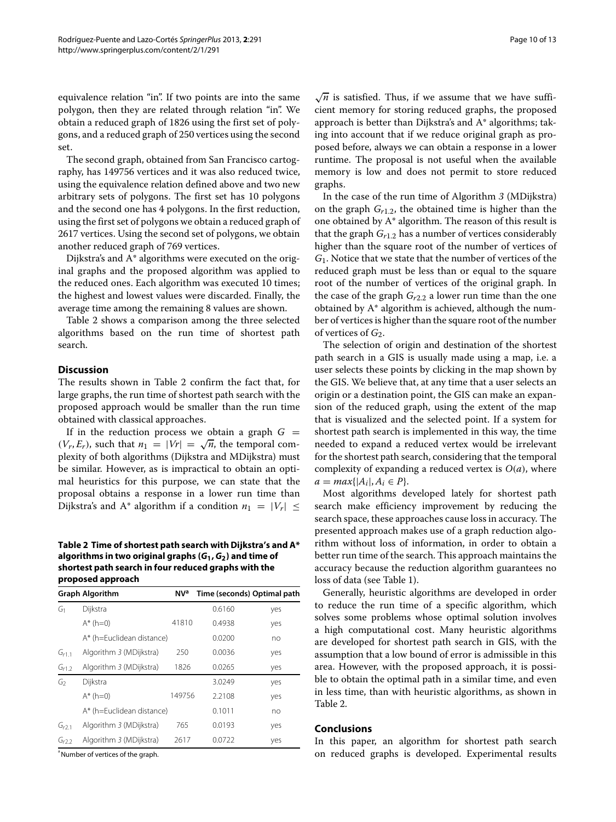equivalence relation "in". If two points are into the same polygon, then they are related through relation "in". We obtain a reduced graph of 1826 using the first set of polygons, and a reduced graph of 250 vertices using the second set.

The second graph, obtained from San Francisco cartography, has 149756 vertices and it was also reduced twice, using the equivalence relation defined above and two new arbitrary sets of polygons. The first set has 10 polygons and the second one has 4 polygons. In the first reduction, using the first set of polygons we obtain a reduced graph of 2617 vertices. Using the second set of polygons, we obtain another reduced graph of 769 vertices.

Dijkstra's and A\* algorithms were executed on the original graphs and the proposed algorithm was applied to the reduced ones. Each algorithm was executed 10 times; the highest and lowest values were discarded. Finally, the average time among the remaining 8 values are shown.

Table [2](#page-9-0) shows a comparison among the three selected algorithms based on the run time of shortest path search.

# **Discussion**

The results shown in Table [2](#page-9-0) confirm the fact that, for large graphs, the run time of shortest path search with the proposed approach would be smaller than the run time obtained with classical approaches.

If in the reduction process we obtain a graph  $G =$  $(V_r, E_r)$ , such that  $n_1 = |V_r| = \sqrt{n}$ , the temporal complexity of both algorithms (Dijkstra and MDijkstra) must be similar. However, as is impractical to obtain an optimal heuristics for this purpose, we can state that the proposal obtains a response in a lower run time than Dijkstra's and A<sup>\*</sup> algorithm if a condition  $n_1 = |V_r|$ 

<span id="page-9-0"></span>**Table 2 Time of shortest path search with Dijkstra's and A\* algorithms in two original graphs (***G***1,***G***2) and time of shortest path search in four reduced graphs with the proposed approach**

|                   | <b>Graph Algorithm</b>    | <b>NV<sup>a</sup></b> | Time (seconds) Optimal path |     |
|-------------------|---------------------------|-----------------------|-----------------------------|-----|
| G1                | Dijkstra                  |                       | 0.6160                      | yes |
|                   | $A^*$ (h=0)               | 41810                 | 0.4938                      | yes |
|                   | A* (h=Euclidean distance) |                       | 0.0200                      | no  |
| $G_{r1.1}$        | Algorithm 3 (MDijkstra)   | 250                   | 0.0036                      | yes |
| G <sub>r1.2</sub> | Algorithm 3 (MDijkstra)   | 1826                  | 0.0265                      | yes |
| G2                | Dijkstra                  |                       | 3.0249                      | yes |
|                   | $A^*$ (h=0)               | 149756                | 2.2108                      | yes |
|                   | A* (h=Euclidean distance) |                       | 0.1011                      | no  |
| $G_{r2.1}$        | Algorithm 3 (MDijkstra)   | 765                   | 0.0193                      | yes |
| $G_{r2,2}$        | Algorithm 3 (MDijkstra)   | 2617                  | 0.0722                      | yes |

<sup>a</sup> Number of vertices of the graph.

 $\sqrt{n}$  is satisfied. Thus, if we assume that we have sufficient memory for storing reduced graphs, the proposed approach is better than Dijkstra's and A\* algorithms; taking into account that if we reduce original graph as proposed before, always we can obtain a response in a lower runtime. The proposal is not useful when the available memory is low and does not permit to store reduced graphs.

In the case of the run time of Algorithm *[3](#page-6-2)* (MDijkstra) on the graph *Gr*1.2, the obtained time is higher than the one obtained by A\* algorithm. The reason of this result is that the graph *Gr*1.2 has a number of vertices considerably higher than the square root of the number of vertices of *G*1. Notice that we state that the number of vertices of the reduced graph must be less than or equal to the square root of the number of vertices of the original graph. In the case of the graph  $G_{r2,2}$  a lower run time than the one obtained by A\* algorithm is achieved, although the number of vertices is higher than the square root of the number of vertices of  $G_2$ .

The selection of origin and destination of the shortest path search in a GIS is usually made using a map, i.e. a user selects these points by clicking in the map shown by the GIS. We believe that, at any time that a user selects an origin or a destination point, the GIS can make an expansion of the reduced graph, using the extent of the map that is visualized and the selected point. If a system for shortest path search is implemented in this way, the time needed to expand a reduced vertex would be irrelevant for the shortest path search, considering that the temporal complexity of expanding a reduced vertex is  $O(a)$ , where  $a = max\{|A_i|, A_i \in P\}.$ 

Most algorithms developed lately for shortest path search make efficiency improvement by reducing the search space, these approaches cause loss in accuracy. The presented approach makes use of a graph reduction algorithm without loss of information, in order to obtain a better run time of the search. This approach maintains the accuracy because the reduction algorithm guarantees no loss of data (see Table [1\)](#page-7-0).

Generally, heuristic algorithms are developed in order to reduce the run time of a specific algorithm, which solves some problems whose optimal solution involves a high computational cost. Many heuristic algorithms are developed for shortest path search in GIS, with the assumption that a low bound of error is admissible in this area. However, with the proposed approach, it is possible to obtain the optimal path in a similar time, and even in less time, than with heuristic algorithms, as shown in Table [2.](#page-9-0)

#### **Conclusions**

In this paper, an algorithm for shortest path search on reduced graphs is developed. Experimental results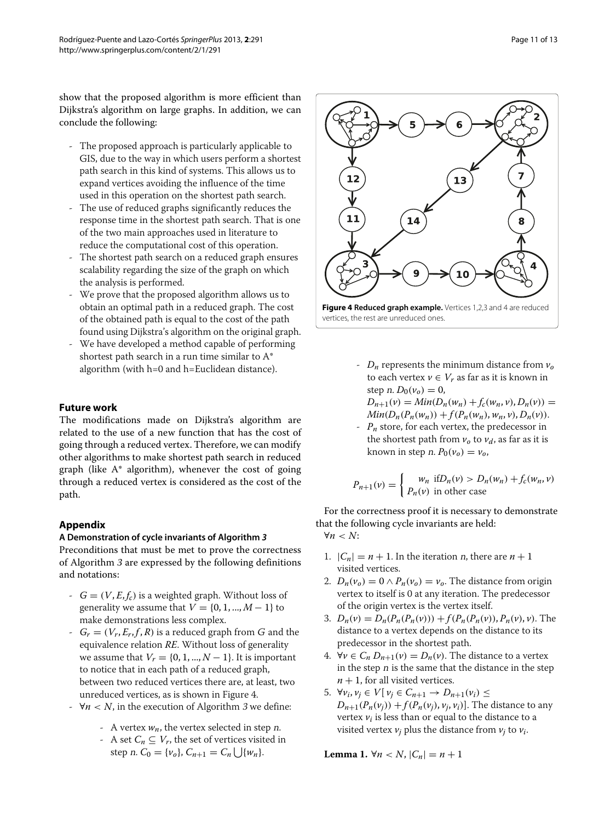show that the proposed algorithm is more efficient than Dijkstra's algorithm on large graphs. In addition, we can conclude the following:

- The proposed approach is particularly applicable to GIS, due to the way in which users perform a shortest path search in this kind of systems. This allows us to expand vertices avoiding the influence of the time used in this operation on the shortest path search.
- The use of reduced graphs significantly reduces the response time in the shortest path search. That is one of the two main approaches used in literature to reduce the computational cost of this operation.
- The shortest path search on a reduced graph ensures scalability regarding the size of the graph on which the analysis is performed.
- We prove that the proposed algorithm allows us to obtain an optimal path in a reduced graph. The cost of the obtained path is equal to the cost of the path found using Dijkstra's algorithm on the original graph.
- We have developed a method capable of performing shortest path search in a run time similar to A\* algorithm (with h=0 and h=Euclidean distance).

# **Future work**

The modifications made on Dijkstra's algorithm are related to the use of a new function that has the cost of going through a reduced vertex. Therefore, we can modify other algorithms to make shortest path search in reduced graph (like A\* algorithm), whenever the cost of going through a reduced vertex is considered as the cost of the path.

# **Appendix**

# **A Demonstration of cycle invariants of Algorithm** *[3](#page-6-2)*

Preconditions that must be met to prove the correctness of Algorithm *[3](#page-6-2)* are expressed by the following definitions and notations:

- $-G = (V, E, f_c)$  is a weighted graph. Without loss of generality we assume that  $V = \{0, 1, ..., M - 1\}$  to make demonstrations less complex.
- $G_r = (V_r, E_r, f, R)$  is a reduced graph from G and the equivalence relation *RE*. Without loss of generality we assume that  $V_r = \{0, 1, ..., N-1\}$ . It is important to notice that in each path of a reduced graph, between two reduced vertices there are, at least, two unreduced vertices, as is shown in Figure [4.](#page-10-1)
- ∀*n* < *N*, in the execution of Algorithm [3](#page-6-2) we define:
	- A vertex  $w_n$ , the vertex selected in step *n*.
	- A set  $C_n \subseteq V_r$ , the set of vertices visited in step *n*.  $C_0 = \{v_o\}$ ,  $C_{n+1} = C_n \bigcup \{w_n\}$ .



<span id="page-10-1"></span> $-D_n$  represents the minimum distance from  $v_0$ to each vertex  $v \in V_r$  as far as it is known in step *n*.  $D_0(v_0) = 0$ ,  $D_{n+1}(v) = Min(D_n(w_n) + f_c(w_n, v), D_n(v)) =$ 

 $Min(D_n(P_n(w_n)) + f(P_n(w_n), w_n, v), D_n(v)).$ 

 $P_n$  store, for each vertex, the predecessor in the shortest path from  $v_0$  to  $v_d$ , as far as it is known in step *n*.  $P_0(\nu_o) = \nu_o$ ,

$$
P_{n+1}(v) = \begin{cases} w_n & \text{if } D_n(v) > D_n(w_n) + f_c(w_n, v) \\ P_n(v) & \text{in other case} \end{cases}
$$

For the correctness proof it is necessary to demonstrate that the following cycle invariants are held: ∀*n* < *N*:

- 1.  $|C_n| = n + 1$ . In the iteration *n*, there are  $n + 1$ visited vertices.
- 2.  $D_n(v_o) = 0 \wedge P_n(v_o) = v_o$ . The distance from origin vertex to itself is 0 at any iteration. The predecessor of the origin vertex is the vertex itself.
- 3.  $D_n(v) = D_n(P_n(P_n(v))) + f(P_n(P_n(v)), P_n(v), v)$ . The distance to a vertex depends on the distance to its predecessor in the shortest path.
- 4. ∀*v* ∈  $C_n D_{n+1}(v) = D_n(v)$ . The distance to a vertex in the step  $n$  is the same that the distance in the step  $n + 1$ , for all visited vertices.
- 5.  $\forall v_i, v_j \in V[v_j \in C_{n+1} \rightarrow D_{n+1}(v_i)$  ≤  $D_{n+1}(P_n(v_i)) + f(P_n(v_i), v_i, v_i)$ . The distance to any vertex  $v_i$  is less than or equal to the distance to a visited vertex  $v_i$  plus the distance from  $v_i$  to  $v_i$ .

<span id="page-10-0"></span>**Lemma 1.** ∀*n* < *N*,  $|C_n| = n + 1$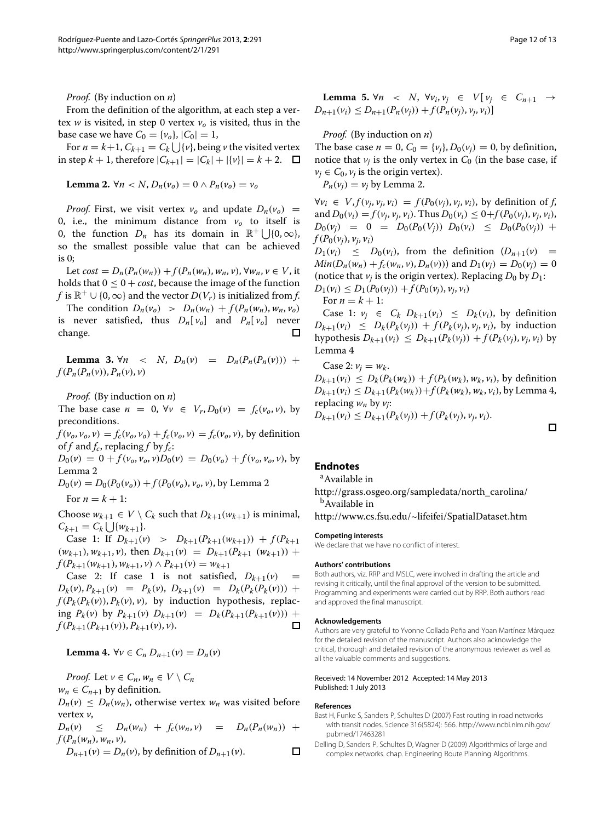*Proof.* (By induction on *n*)

From the definition of the algorithm, at each step a vertex *w* is visited, in step 0 vertex  $v<sub>o</sub>$  is visited, thus in the base case we have  $C_0 = \{v_o\}, |C_0| = 1$ ,

For  $n = k+1$ ,  $C_{k+1} = C_k \bigcup \{v\}$ , being  $v$  the visited vertex in step  $k + 1$ , therefore  $|C_{k+1}| = |C_k| + |\{v\}| = k + 2$ .  $\Box$ 

<span id="page-11-3"></span>**Lemma 2.** 
$$
\forall n < N
$$
,  $D_n(v_o) = 0 \land P_n(v_o) = v_o$ 

*Proof.* First, we visit vertex  $v_0$  and update  $D_n(v_0)$  = 0, i.e., the minimum distance from  $v_0$  to itself is 0, the function  $D_n$  has its domain in  $\mathbb{R}^+$  | {0,  $\infty$ }, so the smallest possible value that can be achieved is 0;

Let  $cost = D_n(P_n(w_n)) + f(P_n(w_n), w_n, v)$ ,  $\forall w_n, v \in V$ , it holds that  $0 \leq 0 + cost$ , because the image of the function *f* is  $\mathbb{R}^+ \cup \{0, \infty\}$  and the vector  $D(V_r)$  is initialized from *f*.

The condition  $D_n(v_0) > D_n(w_n) + f(P_n(w_n), w_n, v_0)$ is never satisfied, thus  $D_n[v_0]$  and  $P_n[v_0]$  never change. П

<span id="page-11-2"></span>**Lemma 3.**  $\forall n \leq N$ ,  $D_n(v) = D_n(P_n(P_n(v)))$  +  $f(P_n(P_n(v)), P_n(v), v)$ 

*Proof.* (By induction on *n*)

The base case  $n = 0$ ,  $\forall v \in V_r, D_0(v) = f_c(v_o, v)$ , by preconditions.

 $f(v_0, v_0, v) = f_c(v_0, v_0) + f_c(v_0, v) = f_c(v_0, v)$ , by definition of  $f$  and  $f_c$ , replacing  $f$  by  $f_c$ :

 $D_0(v) = 0 + f(v_0, v_0, v)D_0(v) = D_0(v_0) + f(v_0, v_0, v)$ , by Lemma [2](#page-11-3)

 $D_0(v) = D_0(P_0(v_o)) + f(P_0(v_o), v_o, v)$ , by Lemma [2](#page-11-3) For  $n = k + 1$ :

Choose  $w_{k+1} \in V \setminus C_k$  such that  $D_{k+1}(w_{k+1})$  is minimal,  $C_{k+1} = C_k \bigcup \{w_{k+1}\}.$ 

Case 1: If  $D_{k+1}(v) > D_{k+1}(P_{k+1}(w_{k+1})) + f(P_{k+1})$  $(w_{k+1}), w_{k+1}, v$ , then  $D_{k+1}(v) = D_{k+1}(P_{k+1} (w_{k+1}))$  +  $f(P_{k+1}(w_{k+1}), w_{k+1}, v) \wedge P_{k+1}(v) = w_{k+1}$ 

Case 2: If case 1 is not satisfied,  $D_{k+1}(v)$  $D_k(v), P_{k+1}(v) = P_k(v), D_{k+1}(v) = D_k(P_k(P_k(v))) +$  $f(P_k(P_k(v)), P_k(v), v)$ , by induction hypothesis, replacing  $P_k(v)$  by  $P_{k+1}(v)$   $D_{k+1}(v) = D_k(P_{k+1}(P_{k+1}(v))) +$  $f(P_{k+1}(P_{k+1}(v)), P_{k+1}(v), v).$ 

<span id="page-11-5"></span>**Lemma 4.** ∀*v* ∈  $C_n D_{n+1}(v) = D_n(v)$ 

*Proof.* Let  $v \in C_n$ ,  $w_n \in V \setminus C_n$ 

 $w_n \in C_{n+1}$  by definition.

 $D_n(v) \leq D_n(w_n)$ , otherwise vertex  $w_n$  was visited before vertex *v*,

 $D_n(v) \leq D_n(w_n) + f_c(w_n, v) = D_n(P_n(w_n)) +$  $f(P_n(w_n), w_n, v)$ ,  $\Box$ 

 $D_{n+1}(v) = D_n(v)$ , by definition of  $D_{n+1}(v)$ .

<span id="page-11-4"></span>**Lemma 5.** ∀*n* < *N*, ∀*v<sub>i</sub>*, *v<sub>j</sub>* ∈ *V*[*v<sub>j</sub>* ∈  $C_{n+1}$  →  $D_{n+1}(v_i) \leq D_{n+1}(P_n(v_i)) + f(P_n(v_i), v_i, v_i)$ 

*Proof.* (By induction on *n*)

The base case  $n = 0$ ,  $C_0 = \{v_i\}$ ,  $D_0(v_i) = 0$ , by definition, notice that  $v_i$  is the only vertex in  $C_0$  (in the base case, if  $v_j \in C_0$ ,  $v_j$  is the origin vertex).

 $P_n(v_i) = v_i$  by Lemma [2.](#page-11-3)

 $∀v_i ∈ V, f(v_i, v_i, v_i) = f(P_0(v_i), v_i, v_i)$ , by definition of *f*, and  $D_0(v_i) = f(v_i, v_i, v_i)$ . Thus  $D_0(v_i) \leq 0 + f(P_0(v_i), v_i, v_i)$ ,  $D_0(v_i) = 0 = D_0(P_0(V_i)) D_0(v_i) \leq D_0(P_0(v_i)) +$  $f(P_0(v_i), v_i, v_i)$ 

 $D_1(v_i) \leq D_0(v_i)$ , from the definition  $(D_{n+1}(v))$  =  $Min(D_n(w_n) + f_c(w_n, v), D_n(v))$  and  $D_1(v_i) = D_0(v_i) = 0$ (notice that  $v_i$  is the origin vertex). Replacing  $D_0$  by  $D_1$ :  $D_1(v_i) \leq D_1(P_0(v_i)) + f(P_0(v_i), v_i, v_i)$ 

For  $n = k + 1$ :

Case 1:  $v_j \in C_k D_{k+1}(v_i) \leq D_k(v_i)$ , by definition  $D_{k+1}(v_i) \leq D_k(P_k(v_i)) + f(P_k(v_i), v_i, v_i)$ , by induction hypothesis  $D_{k+1}(v_i) \leq D_{k+1}(P_k(v_i)) + f(P_k(v_i), v_i, v_i)$  by Lemma [4](#page-11-5)

Case 2:  $v_i = w_k$ .  $D_{k+1}(v_i) \leq D_k(P_k(w_k)) + f(P_k(w_k), w_k, v_i)$ , by definition  $D_{k+1}(v_i) \leq D_{k+1}(P_k(w_k)) + f(P_k(w_k), w_k, v_i)$ , by Lemma [4,](#page-11-5) replacing *wn* by *vj*:

 $D_{k+1}(v_i) \leq D_{k+1}(P_k(v_i)) + f(P_k(v_i), v_i, v_i).$ 

# **Endnotes**

<sup>a</sup> Available in

[http://grass.osgeo.org/sampledata/north\\_carolina/](http://grass.osgeo.org/sampledata/north_carolina/) <sup>b</sup>Available in

<http://www.cs.fsu.edu/~lifeifei/SpatialDataset.htm>

#### **Competing interests**

We declare that we have no conflict of interest.

#### **Authors' contributions**

Both authors, viz. RRP and MSLC, were involved in drafting the article and revising it critically, until the final approval of the version to be submitted. Programming and experiments were carried out by RRP. Both authors read and approved the final manuscript.

#### **Acknowledgements**

Authors are very grateful to Yvonne Collada Peña and Yoan Martínez Márquez for the detailed revision of the manuscript. Authors also acknowledge the critical, thorough and detailed revision of the anonymous reviewer as well as all the valuable comments and suggestions.

#### Received: 14 November 2012 Accepted: 14 May 2013 Published: 1 July 2013

#### **References**

- <span id="page-11-1"></span>Bast H, Funke S, Sanders P, Schultes D (2007) Fast routing in road networks with transit nodes. Science 316(5824): 566. [http://www.ncbi.nlm.nih.gov/](http://www.ncbi.nlm.nih.gov/pubmed/17463281) [pubmed/17463281](http://www.ncbi.nlm.nih.gov/pubmed/17463281)
- <span id="page-11-0"></span>Delling D, Sanders P, Schultes D, Wagner D (2009) Algorithmics of large and complex networks. chap. Engineering Route Planning Algorithms.

 $\Gamma$